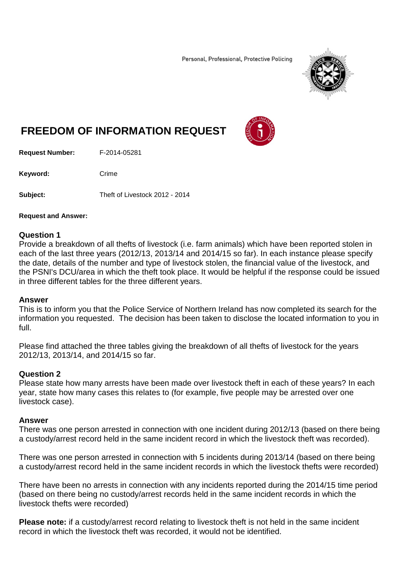Personal, Professional, Protective Policing



# **FREEDOM OF INFORMATION REQUEST**



**Request Number:** F-2014-05281

Keyword: Crime

**Subject:** Theft of Livestock 2012 - 2014

### **Request and Answer:**

### **Question 1**

Provide a breakdown of all thefts of livestock (i.e. farm animals) which have been reported stolen in each of the last three years (2012/13, 2013/14 and 2014/15 so far). In each instance please specify the date, details of the number and type of livestock stolen, the financial value of the livestock, and the PSNI's DCU/area in which the theft took place. It would be helpful if the response could be issued in three different tables for the three different years.

### **Answer**

This is to inform you that the Police Service of Northern Ireland has now completed its search for the information you requested. The decision has been taken to disclose the located information to you in full.

Please find attached the three tables giving the breakdown of all thefts of livestock for the years 2012/13, 2013/14, and 2014/15 so far.

## **Question 2**

Please state how many arrests have been made over livestock theft in each of these years? In each year, state how many cases this relates to (for example, five people may be arrested over one livestock case).

## **Answer**

There was one person arrested in connection with one incident during 2012/13 (based on there being a custody/arrest record held in the same incident record in which the livestock theft was recorded).

There was one person arrested in connection with 5 incidents during 2013/14 (based on there being a custody/arrest record held in the same incident records in which the livestock thefts were recorded)

There have been no arrests in connection with any incidents reported during the 2014/15 time period (based on there being no custody/arrest records held in the same incident records in which the livestock thefts were recorded)

**Please note:** if a custody/arrest record relating to livestock theft is not held in the same incident record in which the livestock theft was recorded, it would not be identified.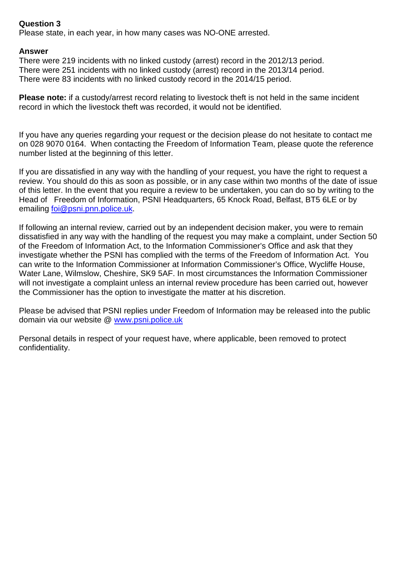# **Question 3**

Please state, in each year, in how many cases was NO-ONE arrested.

# **Answer**

There were 219 incidents with no linked custody (arrest) record in the 2012/13 period. There were 251 incidents with no linked custody (arrest) record in the 2013/14 period. There were 83 incidents with no linked custody record in the 2014/15 period.

**Please note:** if a custody/arrest record relating to livestock theft is not held in the same incident record in which the livestock theft was recorded, it would not be identified.

If you have any queries regarding your request or the decision please do not hesitate to contact me on 028 9070 0164. When contacting the Freedom of Information Team, please quote the reference number listed at the beginning of this letter.

If you are dissatisfied in any way with the handling of your request, you have the right to request a review. You should do this as soon as possible, or in any case within two months of the date of issue of this letter. In the event that you require a review to be undertaken, you can do so by writing to the Head of Freedom of Information, PSNI Headquarters, 65 Knock Road, Belfast, BT5 6LE or by emailing [foi@psni.pnn.police.uk.](mailto:foi@psni.pnn.police.uk)

If following an internal review, carried out by an independent decision maker, you were to remain dissatisfied in any way with the handling of the request you may make a complaint, under Section 50 of the Freedom of Information Act, to the Information Commissioner's Office and ask that they investigate whether the PSNI has complied with the terms of the Freedom of Information Act. You can write to the Information Commissioner at Information Commissioner's Office, Wycliffe House, Water Lane, Wilmslow, Cheshire, SK9 5AF. In most circumstances the Information Commissioner will not investigate a complaint unless an internal review procedure has been carried out, however the Commissioner has the option to investigate the matter at his discretion.

Please be advised that PSNI replies under Freedom of Information may be released into the public domain via our website @ [www.psni.police.uk](http://www.psni.police.uk/)

Personal details in respect of your request have, where applicable, been removed to protect confidentiality.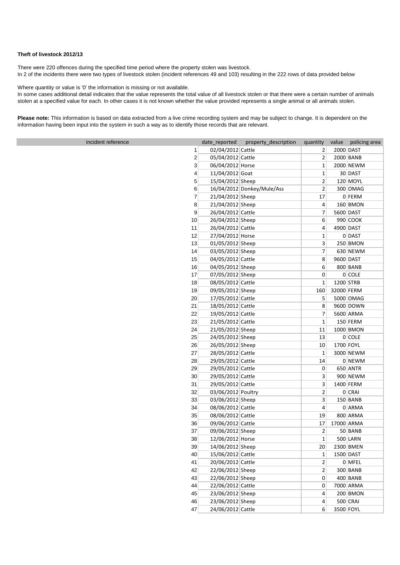#### **Theft of livestock 2012/13**

There were 220 offences during the specified time period where the property stolen was livestock. In 2 of the incidents there were two types of livestock stolen (incident references 49 and 103) resulting in the 222 rows of data provided below

Where quantity or value is '0' the information is missing or not available.

In some cases additional detail indicates that the value represents the total value of all livestock stolen or that there were a certain number of animals stolen at a specified value for each. In other cases it is not known whether the value provided represents a single animal or all animals stolen.

**Please note:** This information is based on data extracted from a live crime recording system and may be subject to change. It is dependent on the information having been input into the system in such a way as to identify those records that are relevant.

| incident reference | date reported      | property description       | quantity                |            | value policing area |
|--------------------|--------------------|----------------------------|-------------------------|------------|---------------------|
| 1                  | 02/04/2012 Cattle  |                            | 2                       |            | 2000 DAST           |
| $\overline{2}$     | 05/04/2012 Cattle  |                            | $\overline{2}$          |            | 2000 BANB           |
| 3                  | 06/04/2012 Horse   |                            | $\mathbf{1}$            |            | 2000 NEWM           |
| 4                  | 11/04/2012 Goat    |                            | $\mathbf 1$             |            | 30 DAST             |
| 5                  | 15/04/2012 Sheep   |                            | $\mathbf 2$             |            | 120 MOYL            |
| 6                  |                    | 16/04/2012 Donkey/Mule/Ass | $\mathbf 2$             |            | 300 OMAG            |
| 7                  | 21/04/2012 Sheep   |                            | 17                      |            | $0$ FERM            |
| 8                  | 21/04/2012 Sheep   |                            | 4                       |            | 160 BMON            |
| 9                  | 26/04/2012 Cattle  |                            | $\overline{7}$          |            | 5600 DAST           |
| 10                 | 26/04/2012 Sheep   |                            | 6                       |            | 990 COOK            |
| 11                 | 26/04/2012 Cattle  |                            | 4                       |            | 4900 DAST           |
| 12                 | 27/04/2012 Horse   |                            | $\mathbf{1}$            |            | $0$ DAST            |
| 13                 | 01/05/2012 Sheep   |                            | $\overline{\mathbf{3}}$ |            | 250 BMON            |
| 14                 | 03/05/2012 Sheep   |                            | 7                       |            | 630 NEWM            |
| 15                 | 04/05/2012 Cattle  |                            | 8                       |            | 9600 DAST           |
| 16                 | 04/05/2012 Sheep   |                            | 6                       |            | 800 BANB            |
| 17                 | 07/05/2012 Sheep   |                            | 0                       |            | $0$ COLE            |
| 18                 | 08/05/2012 Cattle  |                            | $\mathbf{1}$            |            | 1200 STRB           |
| 19                 | 09/05/2012 Sheep   |                            | 160                     | 32000 FERM |                     |
| 20                 | 17/05/2012 Cattle  |                            | 5                       |            | 5000 OMAG           |
| 21                 | 18/05/2012 Cattle  |                            | 8                       |            | 9600 DOWN           |
| 22                 | 19/05/2012 Cattle  |                            | $\overline{7}$          |            | 5600 ARMA           |
| 23                 | 21/05/2012 Cattle  |                            | $\mathbf{1}$            |            | $150$ FERM          |
| 24                 | 21/05/2012 Sheep   |                            | 11                      |            | 1000 BMON           |
| 25                 | 24/05/2012 Sheep   |                            | 13                      |            | $0$ COLE            |
| 26                 | 26/05/2012 Sheep   |                            | 10                      |            | 1700 FOYL           |
| 27                 | 28/05/2012 Cattle  |                            | $\mathbf{1}$            |            | 3000 NEWM           |
| 28                 | 29/05/2012 Cattle  |                            | 14                      |            | 0 NEWM              |
| 29                 | 29/05/2012 Cattle  |                            | 0                       |            | 650 ANTR            |
| 30                 | 29/05/2012 Cattle  |                            | 3                       |            | 900 NEWM            |
| 31                 | 29/05/2012 Cattle  |                            | 3                       |            | 1400 FERM           |
| 32                 | 03/06/2012 Poultry |                            | $\overline{2}$          |            | $0$ CRAI            |
| 33                 | 03/06/2012 Sheep   |                            | 3                       |            | $150$ BANB          |
| 34                 | 08/06/2012 Cattle  |                            | 4                       |            | $0$ ARMA            |
| 35                 | 08/06/2012 Cattle  |                            | 19                      |            | 800 ARMA            |
| 36                 | 09/06/2012 Cattle  |                            | 17                      |            | 17000 ARMA          |
| 37                 | 09/06/2012 Sheep   |                            | $\overline{\mathbf{c}}$ |            | 50 BANB             |
| 38                 | 12/06/2012 Horse   |                            | $\mathbf 1$             |            | 500 LARN            |
| 39                 | 14/06/2012 Sheep   |                            | 20                      |            | 2300 BMEN           |
| 40                 | 15/06/2012 Cattle  |                            | $\mathbf{1}$            |            | 1500 DAST           |
| 41                 | 20/06/2012 Cattle  |                            | $\mathbf{2}$            |            | $0$ MFEL            |
| 42                 | 22/06/2012 Sheep   |                            | $\overline{2}$          |            | 300 BANB            |
| 43                 | 22/06/2012 Sheep   |                            | $\overline{0}$          |            | $400$ BANB          |
| 44                 | 22/06/2012 Cattle  |                            | 0                       |            | 7000 ARMA           |
| 45                 | 23/06/2012 Sheep   |                            | 4                       |            | $200$ BMON          |
| 46                 | 23/06/2012 Sheep   |                            | 4                       |            | $500$ CRAI          |
| 47                 | 24/06/2012 Cattle  |                            | $6 \overline{6}$        |            | 3500 FOYL           |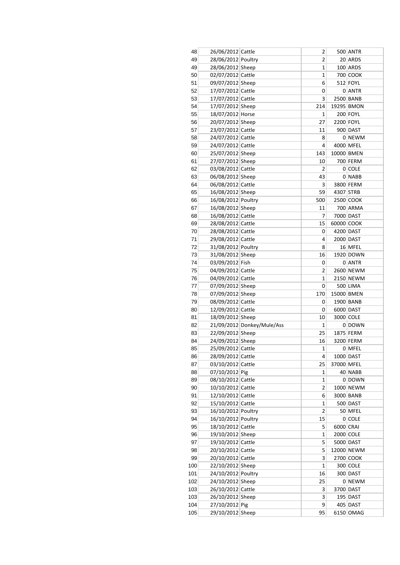| 48  | 26/06/2012 Cattle  |                            | 2            |            | 500 ANTR   |
|-----|--------------------|----------------------------|--------------|------------|------------|
| 49  | 28/06/2012 Poultry |                            | 2            |            | 20 ARDS    |
| 49  | 28/06/2012 Sheep   |                            | 1            |            | 100 ARDS   |
| 50  | 02/07/2012 Cattle  |                            | 1            |            | 700 COOK   |
| 51  | 09/07/2012 Sheep   |                            | 6            |            | 512 FOYL   |
| 52  | 17/07/2012 Cattle  |                            | 0            |            | 0 ANTR     |
| 53  | 17/07/2012 Cattle  |                            | 3            |            | 2500 BANB  |
| 54  | 17/07/2012 Sheep   |                            | 214          |            | 19295 BMON |
| 55  | 18/07/2012 Horse   |                            | 1            |            | 200 FOYL   |
| 56  | 20/07/2012 Sheep   |                            | 27           |            | 2200 FOYL  |
| 57  | 23/07/2012 Cattle  |                            | 11           |            | 900 DAST   |
| 58  | 24/07/2012 Cattle  |                            | 8            |            | 0 NEWM     |
| 59  | 24/07/2012 Cattle  |                            | 4            |            | 4000 MFEL  |
| 60  | 25/07/2012 Sheep   |                            | 143          | 10000 BMEN |            |
| 61  |                    |                            | 10           |            | 700 FERM   |
|     | 27/07/2012 Sheep   |                            |              |            |            |
| 62  | 03/08/2012 Cattle  |                            | 2            |            | 0 COLE     |
| 63  | 06/08/2012 Sheep   |                            | 43           |            | 0 NABB     |
| 64  | 06/08/2012 Cattle  |                            | 3            |            | 3800 FERM  |
| 65  | 16/08/2012 Sheep   |                            | 59           | 4307 STRB  |            |
| 66  | 16/08/2012 Poultry |                            | 500          |            | 2500 COOK  |
| 67  | 16/08/2012 Sheep   |                            | 11           |            | 700 ARMA   |
| 68  | 16/08/2012 Cattle  |                            | 7            |            | 7000 DAST  |
| 69  | 28/08/2012 Cattle  |                            | 15           | 60000 COOK |            |
| 70  | 28/08/2012 Cattle  |                            | 0            |            | 4200 DAST  |
| 71  | 29/08/2012 Cattle  |                            | 4            |            | 2000 DAST  |
| 72  | 31/08/2012 Poultry |                            | 8            |            | 16 MFEL    |
| 73  | 31/08/2012 Sheep   |                            | 16           |            | 1920 DOWN  |
| 74  | 03/09/2012 Fish    |                            | 0            |            | 0 ANTR     |
| 75  | 04/09/2012 Cattle  |                            | 2            |            | 2600 NEWM  |
| 76  | 04/09/2012 Cattle  |                            | 1            |            | 2150 NEWM  |
| 77  | 07/09/2012 Sheep   |                            | 0            |            | 500 LIMA   |
| 78  | 07/09/2012 Sheep   |                            | 170          | 15000 BMEN |            |
| 79  | 08/09/2012 Cattle  |                            | 0            |            | 1900 BANB  |
| 80  | 12/09/2012 Cattle  |                            | 0            |            | 6000 DAST  |
| 81  | 18/09/2012 Sheep   |                            | 10           |            | 3000 COLE  |
| 82  |                    | 21/09/2012 Donkey/Mule/Ass | $\mathbf{1}$ |            | 0 DOWN     |
| 83  | 22/09/2012 Sheep   |                            | 25           |            | 1875 FERM  |
|     |                    |                            |              |            |            |
| 84  | 24/09/2012 Sheep   |                            | 16           |            | 3200 FERM  |
| 85  | 25/09/2012 Cattle  |                            | $\mathbf{1}$ |            | $0$ MFEL   |
| 86  | 28/09/2012 Cattle  |                            | 4            |            | 1000 DAST  |
| 87  | 03/10/2012 Cattle  |                            | 25           | 37000 MFEL |            |
| 88  | 07/10/2012 Pig     |                            | 1            |            | 40 NABB    |
| 89  | 08/10/2012 Cattle  |                            | 1            |            | 0 DOWN     |
| 90  | 10/10/2012 Cattle  |                            | 2            |            | 1000 NEWM  |
| 91  | 12/10/2012 Cattle  |                            | 6            |            | 3000 BANB  |
| 92  | 15/10/2012 Cattle  |                            | $\mathbf 1$  |            | 500 DAST   |
| 93  | 16/10/2012 Poultry |                            | 2            |            | 50 MFEL    |
| 94  | 16/10/2012 Poultry |                            | 15           |            | $0$ COLE   |
| 95  | 18/10/2012 Cattle  |                            | 5            | 6000 CRAI  |            |
| 96  | 19/10/2012 Sheep   |                            | 1            |            | 2000 COLE  |
| 97  | 19/10/2012 Cattle  |                            | 5            |            | 5000 DAST  |
| 98  | 20/10/2012 Cattle  |                            | 5            |            | 12000 NEWM |
| 99  | 20/10/2012 Cattle  |                            | 3            |            | 2700 COOK  |
| 100 | 22/10/2012 Sheep   |                            | $\mathbf{1}$ |            | 300 COLE   |
| 101 | 24/10/2012 Poultry |                            | 16           |            | 300 DAST   |
| 102 | 24/10/2012 Sheep   |                            | 25           |            | 0 NEWM     |
| 103 | 26/10/2012 Cattle  |                            | 3            |            | 3700 DAST  |
| 103 | 26/10/2012 Sheep   |                            | 3            |            | 195 DAST   |
|     |                    |                            | 9            |            |            |
| 104 | 27/10/2012 Pig     |                            |              |            | 405 DAST   |
| 105 | 29/10/2012 Sheep   |                            | 95           |            | 6150 OMAG  |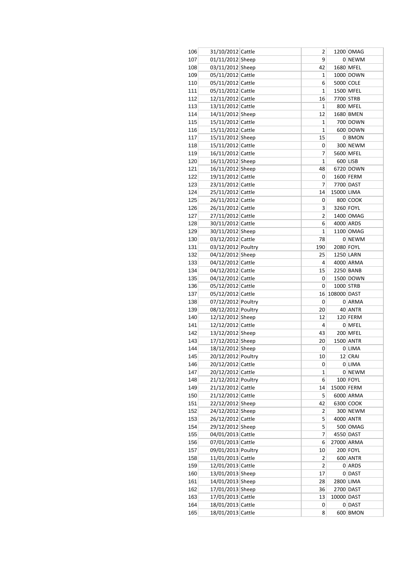| 106 | 31/10/2012 Cattle  | 2              |             | 1200 OMAG |
|-----|--------------------|----------------|-------------|-----------|
| 107 | 01/11/2012 Sheep   | 9              |             | 0 NEWM    |
| 108 | 03/11/2012 Sheep   | 42             |             | 1680 MFEL |
| 109 | 05/11/2012 Cattle  | 1              |             | 1000 DOWN |
| 110 | 05/11/2012 Cattle  | 6              |             | 5000 COLE |
| 111 | 05/11/2012 Cattle  | 1              |             | 1500 MFEL |
| 112 | 12/11/2012 Cattle  | 16             |             | 7700 STRB |
| 113 | 13/11/2012 Cattle  | 1              |             | 800 MFEL  |
| 114 | 14/11/2012 Sheep   | 12             |             | 1680 BMEN |
| 115 | 15/11/2012 Cattle  | 1              |             | 700 DOWN  |
| 116 | 15/11/2012 Cattle  | 1              |             | 600 DOWN  |
| 117 | 15/11/2012 Sheep   | 15             |             | 0 BMON    |
| 118 | 15/11/2012 Cattle  | 0              |             | 300 NEWM  |
| 119 | 16/11/2012 Cattle  | 7              |             | 5600 MFEL |
| 120 | 16/11/2012 Sheep   | $\mathbf 1$    |             | 600 LISB  |
| 121 | 16/11/2012 Sheep   | 48             |             | 6720 DOWN |
| 122 | 19/11/2012 Cattle  | 0              |             | 1600 FERM |
| 123 | 23/11/2012 Cattle  | 7              |             | 7700 DAST |
| 124 | 25/11/2012 Cattle  | 14             | 15000 LIMA  |           |
| 125 | 26/11/2012 Cattle  | 0              |             | 800 COOK  |
| 126 | 26/11/2012 Cattle  | 3              | 3260 FOYL   |           |
| 127 | 27/11/2012 Cattle  | 2              |             | 1400 OMAG |
| 128 | 30/11/2012 Cattle  | 6              |             | 4000 ARDS |
| 129 | 30/11/2012 Sheep   | 1              |             | 1100 OMAG |
|     |                    |                |             |           |
| 130 | 03/12/2012 Cattle  | 78             |             | $0$ NEWM  |
| 131 | 03/12/2012 Poultry | 190            | 2080 FOYL   |           |
| 132 | 04/12/2012 Sheep   | 25             |             | 1250 LARN |
| 133 | 04/12/2012 Cattle  | 4              |             | 4000 ARMA |
| 134 | 04/12/2012 Cattle  | 15             |             | 2250 BANB |
| 135 | 04/12/2012 Cattle  | 0              |             | 1500 DOWN |
| 136 | 05/12/2012 Cattle  | 0              | 1000 STRB   |           |
| 137 | 05/12/2012 Cattle  | 16             | 108000 DAST |           |
| 138 | 07/12/2012 Poultry | 0              |             | 0 ARMA    |
| 139 | 08/12/2012 Poultry | 20             |             | 40 ANTR   |
| 140 | 12/12/2012 Sheep   | 12             |             | 120 FERM  |
| 141 | 12/12/2012 Cattle  | 4              |             | $0$ MFEL  |
| 142 | 13/12/2012 Sheep   | 43             |             | 200 MFEL  |
| 143 | 17/12/2012 Sheep   | 20             |             | 1500 ANTR |
| 144 | 18/12/2012 Sheep   | 0              |             | $0$ LIMA  |
| 145 | 20/12/2012 Poultry | 10             |             | $12$ CRAI |
| 146 | 20/12/2012 Cattle  | 0              |             | $0$ LIMA  |
| 147 | 20/12/2012 Cattle  | 1              |             | $0$ NEWM  |
| 148 | 21/12/2012 Poultry | 6              |             | 100 FOYL  |
| 149 | 21/12/2012 Cattle  | 14             | 15000 FERM  |           |
| 150 | 21/12/2012 Cattle  | 5              |             | 6000 ARMA |
| 151 | 22/12/2012 Sheep   | 42             |             | 6300 COOK |
| 152 | 24/12/2012 Sheep   | 2              |             | 300 NEWM  |
| 153 | 26/12/2012 Cattle  | 5              |             | 4000 ANTR |
| 154 | 29/12/2012 Sheep   | 5              |             | 500 OMAG  |
| 155 | 04/01/2013 Cattle  | 7              |             | 4550 DAST |
| 156 | 07/01/2013 Cattle  | 6              | 27000 ARMA  |           |
| 157 | 09/01/2013 Poultry | 10             |             | 200 FOYL  |
| 158 | 11/01/2013 Cattle  | 2              |             | 600 ANTR  |
| 159 | 12/01/2013 Cattle  | $\overline{2}$ |             | 0 ARDS    |
| 160 | 13/01/2013 Sheep   | 17             |             | 0 DAST    |
| 161 | 14/01/2013 Sheep   | 28             |             | 2800 LIMA |
| 162 | 17/01/2013 Sheep   | 36             |             | 2700 DAST |
| 163 | 17/01/2013 Cattle  | 13             | 10000 DAST  |           |
| 164 | 18/01/2013 Cattle  | 0              |             | $0$ DAST  |
|     |                    | 8              |             | 600 BMON  |
| 165 | 18/01/2013 Cattle  |                |             |           |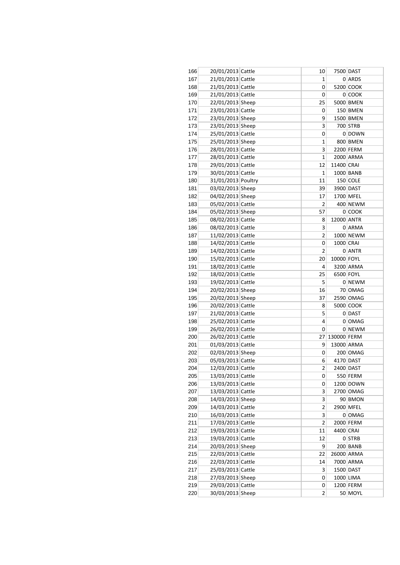| 166 | 20/01/2013 Cattle  | 10                       |             | 7500 DAST  |
|-----|--------------------|--------------------------|-------------|------------|
| 167 | 21/01/2013 Cattle  | 1                        |             | 0 ARDS     |
| 168 | 21/01/2013 Cattle  | 0                        |             | 5200 COOK  |
| 169 | 21/01/2013 Cattle  | 0                        |             | $0$ COOK   |
| 170 | 22/01/2013 Sheep   | 25                       |             | 5000 BMEN  |
| 171 | 23/01/2013 Cattle  | 0                        |             | 150 BMEN   |
| 172 | 23/01/2013 Sheep   | 9                        |             | 1500 BMEN  |
| 173 | 23/01/2013 Sheep   | 3                        |             | 700 STRB   |
| 174 | 25/01/2013 Cattle  | 0                        |             | 0 DOWN     |
| 175 | 25/01/2013 Sheep   | 1                        |             | 800 BMEN   |
| 176 | 28/01/2013 Cattle  | 3                        |             | 2200 FERM  |
| 177 | 28/01/2013 Cattle  | $\mathbf 1$              |             | 2000 ARMA  |
| 178 | 29/01/2013 Cattle  | 12                       | 11400 CRAI  |            |
| 179 | 30/01/2013 Cattle  | 1                        |             | 1000 BANB  |
| 180 | 31/01/2013 Poultry | 11                       |             | $150$ COLE |
| 181 | 03/02/2013 Sheep   | 39                       |             | 3900 DAST  |
| 182 | 04/02/2013 Sheep   | 17                       |             | 1700 MFEL  |
| 183 | 05/02/2013 Cattle  | 2                        |             | 400 NEWM   |
| 184 | 05/02/2013 Sheep   | 57                       |             | $0$ COOK   |
|     |                    | 8                        | 12000 ANTR  |            |
| 185 | 08/02/2013 Cattle  | 3                        |             | 0 ARMA     |
| 186 | 08/02/2013 Cattle  |                          |             |            |
| 187 | 11/02/2013 Cattle  | 2                        |             | 1000 NEWM  |
| 188 | 14/02/2013 Cattle  | 0                        | 1000 CRAI   |            |
| 189 | 14/02/2013 Cattle  | $\overline{2}$           |             | 0 ANTR     |
| 190 | 15/02/2013 Cattle  | 20                       | 10000 FOYL  |            |
| 191 | 18/02/2013 Cattle  | 4                        |             | 3200 ARMA  |
| 192 | 18/02/2013 Cattle  | 25                       | 6500 FOYL   |            |
| 193 | 19/02/2013 Cattle  | 5                        |             | 0 NEWM     |
| 194 | 20/02/2013 Sheep   | 16                       |             | 70 OMAG    |
| 195 | 20/02/2013 Sheep   | 37                       |             | 2590 OMAG  |
| 196 | 20/02/2013 Cattle  | 8                        |             | 5000 COOK  |
| 197 | 21/02/2013 Cattle  | 5                        |             | 0 DAST     |
| 198 | 25/02/2013 Cattle  | 4                        |             | 0 OMAG     |
| 199 | 26/02/2013 Cattle  | 0                        |             | 0 NEWM     |
| 200 | 26/02/2013 Cattle  | 27                       | 130000 FERM |            |
| 201 | 01/03/2013 Cattle  | 9                        |             | 13000 ARMA |
| 202 | 02/03/2013 Sheep   | 0                        |             | 200 OMAG   |
| 203 | 05/03/2013 Cattle  | 6                        |             | 4170 DAST  |
| 204 | 12/03/2013 Cattle  | $\overline{\phantom{a}}$ | 2400 DAST   |            |
| 205 | 13/03/2013 Cattle  | 0                        |             | 550 FERM   |
| 206 | 13/03/2013 Cattle  | 0                        |             | 1200 DOWN  |
| 207 | 13/03/2013 Cattle  | 3                        |             | 2700 OMAG  |
| 208 | 14/03/2013 Sheep   | 3                        |             | 90 BMON    |
| 209 | 14/03/2013 Cattle  | 2                        |             | 2900 MFEL  |
| 210 | 16/03/2013 Cattle  | 3                        |             | $0$ OMAG   |
| 211 | 17/03/2013 Cattle  | 2                        |             | 2000 FERM  |
| 212 | 19/03/2013 Cattle  | 11                       | 4400 CRAI   |            |
| 213 | 19/03/2013 Cattle  | 12                       |             | $0$ STRB   |
| 214 | 20/03/2013 Sheep   | 9                        |             | 200 BANB   |
| 215 | 22/03/2013 Cattle  | 22                       |             | 26000 ARMA |
| 216 | 22/03/2013 Cattle  | 14                       |             | 7000 ARMA  |
| 217 | 25/03/2013 Cattle  | 3                        |             | 1500 DAST  |
| 218 | 27/03/2013 Sheep   | 0                        |             | 1000 LIMA  |
| 219 | 29/03/2013 Cattle  | 0                        |             | 1200 FERM  |
| 220 | 30/03/2013 Sheep   | 2                        |             | 50 MOYL    |
|     |                    |                          |             |            |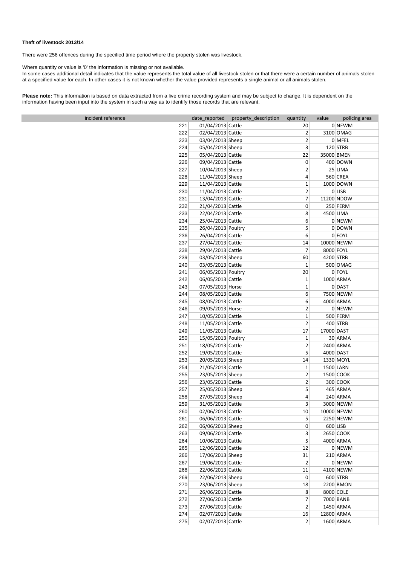#### **Theft of livestock 2013/14**

There were 256 offences during the specified time period where the property stolen was livestock.

Where quantity or value is '0' the information is missing or not available.

In some cases additional detail indicates that the value represents the total value of all livestock stolen or that there were a certain number of animals stolen at a specified value for each. In other cases it is not known whether the value provided represents a single animal or all animals stolen.

**Please note:** This information is based on data extracted from a live crime recording system and may be subject to change. It is dependent on the information having been input into the system in such a way as to identify those records that are relevant.

| incident reference |     |                    | date_reported property_description | quantity       | value      | policing area |
|--------------------|-----|--------------------|------------------------------------|----------------|------------|---------------|
|                    | 221 | 01/04/2013 Cattle  |                                    | 20             |            | 0 NEWM        |
|                    | 222 | 02/04/2013 Cattle  |                                    | $\overline{2}$ |            | 3100 OMAG     |
|                    | 223 | 03/04/2013 Sheep   |                                    | $\overline{2}$ |            | 0 MFEL        |
|                    | 224 | 05/04/2013 Sheep   |                                    | 3              |            | $120$ STRB    |
|                    | 225 | 05/04/2013 Cattle  |                                    | 22             | 35000 BMEN |               |
|                    | 226 | 09/04/2013 Cattle  |                                    | 0              |            | 400 DOWN      |
|                    | 227 | 10/04/2013 Sheep   |                                    | $\overline{2}$ |            | $25$ LIMA     |
|                    | 228 | 11/04/2013 Sheep   |                                    | 4              |            | 560 CREA      |
|                    | 229 | 11/04/2013 Cattle  |                                    | $\mathbf{1}$   |            | 1000 DOWN     |
|                    | 230 | 11/04/2013 Cattle  |                                    | 2              |            | $0$ LISB      |
|                    | 231 | 13/04/2013 Cattle  |                                    | $\overline{7}$ |            | 11200 NDOW    |
|                    | 232 | 21/04/2013 Cattle  |                                    | 0              |            | 250 FERM      |
|                    | 233 | 22/04/2013 Cattle  |                                    | 8              | 4500 LIMA  |               |
|                    | 234 | 25/04/2013 Cattle  |                                    | 6              |            | 0 NEWM        |
|                    | 235 | 26/04/2013 Poultry |                                    | 5              |            | 0 DOWN        |
|                    | 236 | 26/04/2013 Cattle  |                                    | 6              |            | $0$ FOYL      |
|                    | 237 | 27/04/2013 Cattle  |                                    | 14             |            | 10000 NEWM    |
|                    | 238 | 29/04/2013 Cattle  |                                    | $\overline{7}$ | 8000 FOYL  |               |
|                    | 239 | 03/05/2013 Sheep   |                                    | 60             | 4200 STRB  |               |
|                    | 240 | 03/05/2013 Cattle  |                                    | $\mathbf{1}$   |            | 500 OMAG      |
|                    | 241 | 06/05/2013 Poultry |                                    | 20             |            | $0$ FOYL      |
|                    | 242 | 06/05/2013 Cattle  |                                    | $\mathbf{1}$   |            | 1000 ARMA     |
|                    | 243 | 07/05/2013 Horse   |                                    | $\mathbf{1}$   |            | 0 DAST        |
|                    | 244 | 08/05/2013 Cattle  |                                    | 6              |            | 7500 NEWM     |
|                    | 245 | 08/05/2013 Cattle  |                                    | 6              |            | 4000 ARMA     |
|                    | 246 | 09/05/2013 Horse   |                                    | $\overline{2}$ |            | 0 NEWM        |
|                    | 247 | 10/05/2013 Cattle  |                                    | $\mathbf{1}$   |            | $500$ FERM    |
|                    | 248 | 11/05/2013 Cattle  |                                    | $\overline{2}$ |            | $400$ STRB    |
|                    | 249 | 11/05/2013 Cattle  |                                    | 17             | 17000 DAST |               |
|                    | 250 | 15/05/2013 Poultry |                                    | $\mathbf{1}$   |            | 30 ARMA       |
|                    | 251 | 18/05/2013 Cattle  |                                    | 2              |            | 2400 ARMA     |
|                    | 252 | 19/05/2013 Cattle  |                                    | 5              | 4000 DAST  |               |
|                    | 253 | 20/05/2013 Sheep   |                                    | 14             |            | 1330 MOYL     |
|                    | 254 | 21/05/2013 Cattle  |                                    | 1              | 1500 LARN  |               |
|                    | 255 | 23/05/2013 Sheep   |                                    | $\overline{2}$ |            | 1500 COOK     |
|                    | 256 | 23/05/2013 Cattle  |                                    | $\overline{2}$ |            | 300 COOK      |
|                    | 257 | 25/05/2013 Sheep   |                                    | 5              |            | 465 ARMA      |
|                    | 258 | 27/05/2013 Sheep   |                                    | 4              |            | 240 ARMA      |
|                    | 259 | 31/05/2013 Cattle  |                                    | 3              |            | 3000 NEWM     |
|                    | 260 | 02/06/2013 Cattle  |                                    | 10             |            | 10000 NEWM    |
|                    | 261 | 06/06/2013 Cattle  |                                    | 5              |            | 2250 NEWM     |
|                    | 262 | 06/06/2013 Sheep   |                                    | 0              |            | $600$ LISB    |
|                    | 263 | 09/06/2013 Cattle  |                                    | 3              |            | 2650 COOK     |
|                    | 264 | 10/06/2013 Cattle  |                                    | 5              |            | 4000 ARMA     |
|                    | 265 | 12/06/2013 Cattle  |                                    | 12             |            | 0 NEWM        |
|                    | 266 | 17/06/2013 Sheep   |                                    | 31             |            | 210 ARMA      |
|                    | 267 | 19/06/2013 Cattle  |                                    | 2              |            | 0 NEWM        |
|                    | 268 | 22/06/2013 Cattle  |                                    | 11             |            | 4100 NEWM     |
|                    | 269 | 22/06/2013 Sheep   |                                    | 0              |            | $600$ STRB    |
|                    | 270 | 23/06/2013 Sheep   |                                    | 18             |            | 2200 BMON     |
|                    | 271 | 26/06/2013 Cattle  |                                    | 8              | 8000 COLE  |               |
|                    | 272 | 27/06/2013 Cattle  |                                    | 7              |            | 7000 BANB     |
|                    | 273 | 27/06/2013 Cattle  |                                    | 2              |            | 1450 ARMA     |
|                    | 274 | 02/07/2013 Cattle  |                                    | 16             | 12800 ARMA |               |
|                    |     |                    |                                    |                |            |               |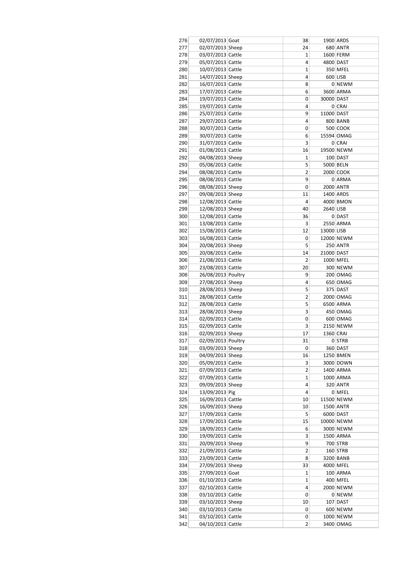| 276 | 02/07/2013 Goat    | 38                      |            | 1900 ARDS  |
|-----|--------------------|-------------------------|------------|------------|
| 277 | 02/07/2013 Sheep   | 24                      |            | 680 ANTR   |
| 278 | 03/07/2013 Cattle  | 1                       |            | 1600 FERM  |
| 279 | 05/07/2013 Cattle  | 4                       |            | 4800 DAST  |
| 280 | 10/07/2013 Cattle  | 1                       |            | 350 MFEL   |
| 281 | 14/07/2013 Sheep   | 4                       |            | 600 LISB   |
| 282 | 16/07/2013 Cattle  | 8                       |            | 0 NEWM     |
| 283 | 17/07/2013 Cattle  | 6                       |            | 3600 ARMA  |
| 284 | 19/07/2013 Cattle  | 0                       | 30000 DAST |            |
| 285 | 19/07/2013 Cattle  | 4                       |            | 0 CRAI     |
| 286 | 25/07/2013 Cattle  | 9                       | 11000 DAST |            |
| 287 | 29/07/2013 Cattle  | 4                       |            | 800 BANB   |
| 288 | 30/07/2013 Cattle  | 0                       |            | 500 COOK   |
| 289 | 30/07/2013 Cattle  | 6                       |            | 15594 OMAG |
| 290 | 31/07/2013 Cattle  | 3                       |            | 0 CRAI     |
| 291 | 01/08/2013 Cattle  | 16                      |            | 19500 NEWM |
| 292 | 04/08/2013 Sheep   | 1                       |            | $100$ DAST |
| 293 | 05/08/2013 Cattle  | 5                       |            | 5000 BELN  |
| 294 | 08/08/2013 Cattle  | 2                       |            | 2000 COOK  |
| 295 | 08/08/2013 Cattle  | 9                       |            | 0 ARMA     |
| 296 | 08/08/2013 Sheep   | 0                       |            | 2000 ANTR  |
| 297 | 09/08/2013 Sheep   |                         |            |            |
|     |                    | 11                      |            | 1400 ARDS  |
| 298 | 12/08/2013 Cattle  | 4                       |            | 4000 BMON  |
| 299 | 12/08/2013 Sheep   | 40                      | 2640 LISB  |            |
| 300 | 12/08/2013 Cattle  | 36                      |            | 0 DAST     |
| 301 | 13/08/2013 Cattle  | 3                       |            | 2550 ARMA  |
| 302 | 15/08/2013 Cattle  | 12                      | 13000 LISB |            |
| 303 | 16/08/2013 Cattle  | 0                       |            | 12000 NEWM |
| 304 | 20/08/2013 Sheep   | 5                       |            | 250 ANTR   |
| 305 | 20/08/2013 Cattle  | 14                      | 21000 DAST |            |
| 306 | 21/08/2013 Cattle  | 2                       |            | 1000 MFEL  |
| 307 | 23/08/2013 Cattle  | 20                      |            | 300 NEWM   |
| 308 | 26/08/2013 Poultry | 9                       |            | 200 OMAG   |
| 309 | 27/08/2013 Sheep   | 4                       |            | 650 OMAG   |
| 310 | 28/08/2013 Sheep   | 5                       |            | 375 DAST   |
| 311 | 28/08/2013 Cattle  | 2                       |            | 2000 OMAG  |
| 312 | 28/08/2013 Cattle  | 5                       |            | 6500 ARMA  |
| 313 | 28/08/2013 Sheep   | 3                       |            | 450 OMAG   |
| 314 | 02/09/2013 Cattle  | 0                       |            | 600 OMAG   |
| 315 | 02/09/2013 Cattle  | 3                       |            | 2150 NEWM  |
| 316 | 02/09/2013 Sheep   | 17                      | 1360 CRAI  |            |
| 317 | 02/09/2013 Poultry | 31                      |            | 0 STRB     |
|     |                    |                         |            |            |
| 318 | 03/09/2013 Sheep   | 0                       |            | 360 DAST   |
| 319 | 04/09/2013 Sheep   | 16                      |            | 1250 BMEN  |
| 320 | 05/09/2013 Cattle  | 3                       |            | 3000 DOWN  |
| 321 | 07/09/2013 Cattle  | 2                       |            | 1400 ARMA  |
| 322 | 07/09/2013 Cattle  | 1                       |            | 1000 ARMA  |
| 323 | 09/09/2013 Sheep   | 4                       |            | 320 ANTR   |
| 324 | 13/09/2013 Pig     | 4                       |            | 0 MFEL     |
| 325 | 16/09/2013 Cattle  | 10                      |            | 11500 NEWM |
| 326 | 16/09/2013 Sheep   | 10                      |            | 1500 ANTR  |
| 327 | 17/09/2013 Cattle  | 5                       |            | 6000 DAST  |
| 328 | 17/09/2013 Cattle  | 15                      |            | 10000 NEWM |
| 329 | 18/09/2013 Cattle  | 6                       |            | 3000 NEWM  |
| 330 | 19/09/2013 Cattle  | 3                       |            | 1500 ARMA  |
| 331 | 20/09/2013 Sheep   | 9                       |            | 700 STRB   |
| 332 | 21/09/2013 Cattle  | $\overline{\mathbf{c}}$ |            | $160$ STRB |
| 333 | 23/09/2013 Cattle  | 8                       |            | 3200 BANB  |
| 334 | 27/09/2013 Sheep   | 33                      |            | 4000 MFEL  |
| 335 | 27/09/2013 Goat    | 1                       |            | 100 ARMA   |
| 336 | 01/10/2013 Cattle  | 1                       |            | 400 MFEL   |
| 337 | 02/10/2013 Cattle  | 4                       |            | 2000 NEWM  |
| 338 | 03/10/2013 Cattle  | 0                       |            | 0 NEWM     |
| 339 | 03/10/2013 Sheep   | 10                      |            | 107 DAST   |
|     |                    |                         |            |            |
| 340 | 03/10/2013 Cattle  | 0                       |            | 600 NEWM   |
| 341 | 03/10/2013 Cattle  | 0                       |            | 1000 NEWM  |
| 342 | 04/10/2013 Cattle  | 2                       |            | 3400 OMAG  |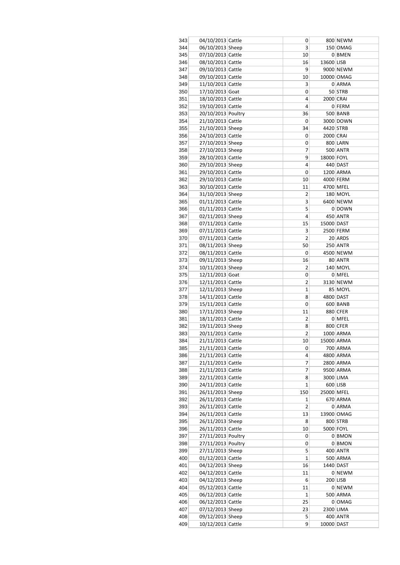| 343 | 04/10/2013 Cattle  | 0              |            | 800 NEWM   |
|-----|--------------------|----------------|------------|------------|
| 344 | 06/10/2013 Sheep   | 3              |            | 150 OMAG   |
| 345 | 07/10/2013 Cattle  | 10             |            | 0 BMEN     |
| 346 | 08/10/2013 Cattle  | 16             | 13600 LISB |            |
| 347 | 09/10/2013 Cattle  | 9              |            | 9000 NEWM  |
| 348 | 09/10/2013 Cattle  | 10             |            | 10000 OMAG |
| 349 | 11/10/2013 Cattle  | 3              |            | 0 ARMA     |
| 350 | 17/10/2013 Goat    | 0              |            | 50 STRB    |
| 351 | 18/10/2013 Cattle  | 4              | 2000 CRAI  |            |
| 352 | 19/10/2013 Cattle  | 4              |            | 0 FERM     |
| 353 | 20/10/2013 Poultry | 36             |            | 500 BANB   |
| 354 | 21/10/2013 Cattle  | 0              |            | 3000 DOWN  |
| 355 | 21/10/2013 Sheep   | 34             | 4420 STRB  |            |
| 356 | 24/10/2013 Cattle  | 0              | 2000 CRAI  |            |
| 357 | 27/10/2013 Sheep   | 0              |            | 800 LARN   |
| 358 | 27/10/2013 Sheep   | 7              |            | 500 ANTR   |
| 359 | 28/10/2013 Cattle  | 9              | 18000 FOYL |            |
| 360 | 29/10/2013 Sheep   | 4              |            | 440 DAST   |
| 361 | 29/10/2013 Cattle  | 0              |            | 1200 ARMA  |
| 362 | 29/10/2013 Cattle  | 10             |            | 4000 FERM  |
| 363 | 30/10/2013 Cattle  | 11             |            | 4700 MFEL  |
| 364 | 31/10/2013 Sheep   | 2              |            | 180 MOYL   |
| 365 | 01/11/2013 Cattle  | 3              |            | 6400 NEWM  |
| 366 | 01/11/2013 Cattle  | 5              |            | 0 DOWN     |
| 367 | 02/11/2013 Sheep   | 4              |            | 450 ANTR   |
| 368 | 07/11/2013 Cattle  | 15             | 15000 DAST |            |
| 369 | 07/11/2013 Cattle  | 3              |            | 2500 FERM  |
| 370 | 07/11/2013 Cattle  | $\overline{2}$ |            | 20 ARDS    |
| 371 | 08/11/2013 Sheep   | 50             |            | 250 ANTR   |
| 372 | 08/11/2013 Cattle  | 0              |            | 4500 NEWM  |
| 373 | 09/11/2013 Sheep   | 16             |            | 80 ANTR    |
| 374 | 10/11/2013 Sheep   | 2              |            | 140 MOYL   |
| 375 | 12/11/2013 Goat    | 0              |            | 0 MFEL     |
| 376 | 12/11/2013 Cattle  | 2              |            | 3130 NEWM  |
| 377 | 12/11/2013 Sheep   | 1              |            | 85 MOYL    |
| 378 | 14/11/2013 Cattle  | 8              |            | 4800 DAST  |
| 379 | 15/11/2013 Cattle  | 0              |            | 600 BANB   |
| 380 | 17/11/2013 Sheep   | 11             |            | 880 CFER   |
| 381 | 18/11/2013 Cattle  | 2              |            | 0 MFEL     |
| 382 | 19/11/2013 Sheep   | 8              |            | 800 CFER   |
| 383 | 20/11/2013 Cattle  | 2              |            | 1000 ARMA  |
| 384 | 21/11/2013 Cattle  | 10             |            | 15000 ARMA |
| 385 | 21/11/2013 Cattle  | 0              |            | 700 ARMA   |
| 386 | 21/11/2013 Cattle  | 4              |            | 4800 ARMA  |
| 387 | 21/11/2013 Cattle  | 7              |            | 2800 ARMA  |
| 388 | 21/11/2013 Cattle  | 7              |            | 9500 ARMA  |
| 389 | 22/11/2013 Cattle  | 8              |            | 3000 LIMA  |
| 390 | 24/11/2013 Cattle  | 1              |            | 600 LISB   |
| 391 | 26/11/2013 Sheep   | 150            | 25000 MFEL |            |
| 392 | 26/11/2013 Cattle  | 1              |            | 670 ARMA   |
| 393 | 26/11/2013 Cattle  | $\overline{2}$ |            | 0 ARMA     |
| 394 | 26/11/2013 Cattle  | 13             |            | 13900 OMAG |
| 395 | 26/11/2013 Sheep   | 8              |            | 800 STRB   |
| 396 | 26/11/2013 Cattle  | 10             |            | 5000 FOYL  |
| 397 | 27/11/2013 Poultry | 0              |            | 0 BMON     |
| 398 | 27/11/2013 Poultry | 0              |            | 0 BMON     |
| 399 | 27/11/2013 Sheep   | 5              |            | 400 ANTR   |
| 400 | 01/12/2013 Cattle  | 1              |            | 500 ARMA   |
| 401 | 04/12/2013 Sheep   | 16             |            | 1440 DAST  |
| 402 | 04/12/2013 Cattle  | 11             |            | 0 NEWM     |
| 403 | 04/12/2013 Sheep   | 6              |            | $200$ LISB |
| 404 | 05/12/2013 Cattle  | 11             |            | 0 NEWM     |
| 405 | 06/12/2013 Cattle  | 1              |            | 500 ARMA   |
| 406 | 06/12/2013 Cattle  | 25             |            | 0 OMAG     |
| 407 | 07/12/2013 Sheep   | 23             |            | 2300 LIMA  |
| 408 | 09/12/2013 Sheep   | 5              |            | 400 ANTR   |
| 409 | 10/12/2013 Cattle  | 9              | 10000 DAST |            |
|     |                    |                |            |            |